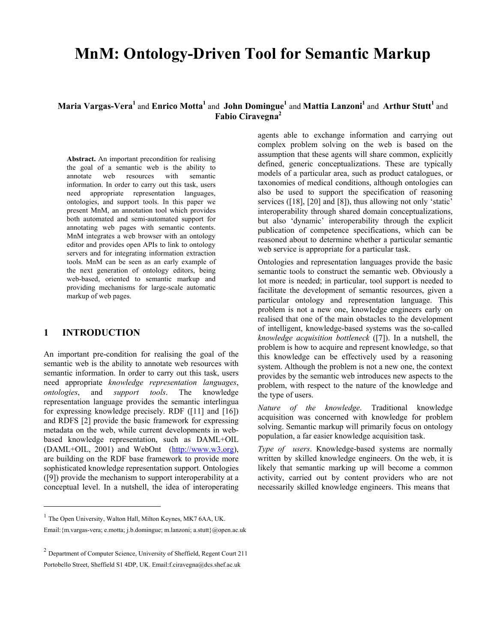# **MnM: Ontology-Driven Tool for Semantic Markup**

# $M$ aria  $V$ argas- $V$ era $^1$  $^1$  and  $E$ nrico  $M$ otta $^1$  and  $J$ ohn  $D$ omingue $^1$  and  $M$ attia  $L$ anzoni $^1$  and  $A$ rthur  $S$ tutt $^1$  and **Fabio Ciravegna[2](#page-0-1)**

**Abstract.** An important precondition for realising the goal of a semantic web is the ability to annotate web resources with semantic information. In order to carry out this task, users need appropriate representation languages, ontologies, and support tools. In this paper we present MnM, an annotation tool which provides both automated and semi-automated support for annotating web pages with semantic contents. MnM integrates a web browser with an ontology editor and provides open APIs to link to ontology servers and for integrating information extraction tools. MnM can be seen as an early example of the next generation of ontology editors, being web-based, oriented to semantic markup and providing mechanisms for large-scale automatic markup of web pages.

## **1 INTRODUCTION**

1

An important pre-condition for realising the goal of the semantic web is the ability to annotate web resources with semantic information. In order to carry out this task, users need appropriate *knowledge representation languages*, *ontologies*, and *support tools*. The knowledge representation language provides the semantic interlingua for expressing knowledge precisely. RDF ([11] and [16]) and RDFS [2] provide the basic framework for expressing metadata on the web, while current developments in webbased knowledge representation, such as DAML+OIL (DAML+OIL, 2001) and WebOnt [\(http://www.w3.org\)](#page-0-0), are building on the RDF base framework to provide more sophisticated knowledge representation support. Ontologies ([9]) provide the mechanism to support interoperability at a conceptual level. In a nutshell, the idea of interoperating agents able to exchange information and carrying out complex problem solving on the web is based on the assumption that these agents will share common, explicitly defined, generic conceptualizations. These are typically models of a particular area, such as product catalogues, or taxonomies of medical conditions, although ontologies can also be used to support the specification of reasoning services ([18], [20] and [8]), thus allowing not only 'static' interoperability through shared domain conceptualizations, but also 'dynamic' interoperability through the explicit publication of competence specifications, which can be reasoned about to determine whether a particular semantic web service is appropriate for a particular task.

Ontologies and representation languages provide the basic semantic tools to construct the semantic web. Obviously a lot more is needed; in particular, tool support is needed to facilitate the development of semantic resources, given a particular ontology and representation language. This problem is not a new one, knowledge engineers early on realised that one of the main obstacles to the development of intelligent, knowledge-based systems was the so-called *knowledge acquisition bottleneck* ([7]). In a nutshell, the problem is how to acquire and represent knowledge, so that this knowledge can be effectively used by a reasoning system. Although the problem is not a new one, the context provides by the semantic web introduces new aspects to the problem, with respect to the nature of the knowledge and the type of users.

*Nature of the knowledge*. Traditional knowledge acquisition was concerned with knowledge for problem solving. Semantic markup will primarily focus on ontology population, a far easier knowledge acquisition task.

*Type of users*. Knowledge-based systems are normally written by skilled knowledge engineers. On the web, it is likely that semantic marking up will become a common activity, carried out by content providers who are not necessarily skilled knowledge engineers. This means that

<span id="page-0-0"></span><sup>&</sup>lt;sup>1</sup> The Open University, Walton Hall, Milton Keynes, MK7 6AA, UK.

Email:{m.vargas-vera; e.motta; j.b.domingue; m.lanzoni; a.stutt}@open.ac.uk

<span id="page-0-1"></span> $2$  Department of Computer Science, University of Sheffield, Regent Court 211 Portobello Street, Sheffield S1 4DP, UK. Email:f.ciravegna@dcs.shef.ac.uk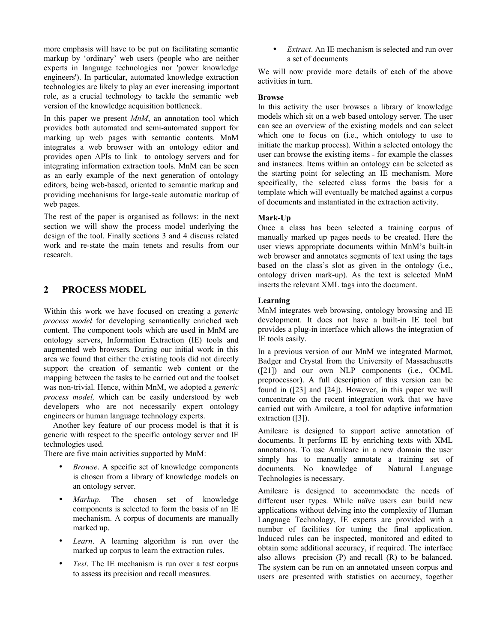more emphasis will have to be put on facilitating semantic markup by 'ordinary' web users (people who are neither experts in language technologies nor 'power knowledge engineers'). In particular, automated knowledge extraction technologies are likely to play an ever increasing important role, as a crucial technology to tackle the semantic web version of the knowledge acquisition bottleneck.

In this paper we present *MnM*, an annotation tool which provides both automated and semi-automated support for marking up web pages with semantic contents. MnM integrates a web browser with an ontology editor and provides open APIs to link to ontology servers and for integrating information extraction tools. MnM can be seen as an early example of the next generation of ontology editors, being web-based, oriented to semantic markup and providing mechanisms for large-scale automatic markup of web pages.

The rest of the paper is organised as follows: in the next section we will show the process model underlying the design of the tool. Finally sections 3 and 4 discuss related work and re-state the main tenets and results from our research.

# **2 PROCESS MODEL**

Within this work we have focused on creating a *generic process model* for developing semantically enriched web content. The component tools which are used in MnM are ontology servers, Information Extraction (IE) tools and augmented web browsers. During our initial work in this area we found that either the existing tools did not directly support the creation of semantic web content or the mapping between the tasks to be carried out and the toolset was non-trivial. Hence, within MnM, we adopted a *generic process model,* which can be easily understood by web developers who are not necessarily expert ontology engineers or human language technology experts.

Another key feature of our process model is that it is generic with respect to the specific ontology server and IE technologies used.

There are five main activities supported by MnM:

- *Browse*. A specific set of knowledge components is chosen from a library of knowledge models on an ontology server.
- *Markup*. The chosen set of knowledge components is selected to form the basis of an IE mechanism. A corpus of documents are manually marked up.
- *Learn*. A learning algorithm is run over the marked up corpus to learn the extraction rules.
- *Test*. The IE mechanism is run over a test corpus to assess its precision and recall measures.

• *Extract*. An IE mechanism is selected and run over a set of documents

We will now provide more details of each of the above activities in turn.

#### **Browse**

In this activity the user browses a library of knowledge models which sit on a web based ontology server. The user can see an overview of the existing models and can select which one to focus on (i.e., which ontology to use to initiate the markup process). Within a selected ontology the user can browse the existing items - for example the classes and instances. Items within an ontology can be selected as the starting point for selecting an IE mechanism. More specifically, the selected class forms the basis for a template which will eventually be matched against a corpus of documents and instantiated in the extraction activity.

## **Mark-Up**

Once a class has been selected a training corpus of manually marked up pages needs to be created. Here the user views appropriate documents within MnM's built-in web browser and annotates segments of text using the tags based on the class's slot as given in the ontology (i.e., ontology driven mark-up). As the text is selected MnM inserts the relevant XML tags into the document.

## **Learning**

MnM integrates web browsing, ontology browsing and IE development. It does not have a built-in IE tool but provides a plug-in interface which allows the integration of IE tools easily.

In a previous version of our MnM we integrated Marmot, Badger and Crystal from the University of Massachusetts ([21]) and our own NLP components (i.e., OCML preprocessor). A full description of this version can be found in ([23] and [24]). However, in this paper we will concentrate on the recent integration work that we have carried out with Amilcare, a tool for adaptive information extraction ([3]).

Amilcare is designed to support active annotation of documents. It performs IE by enriching texts with XML annotations. To use Amilcare in a new domain the user simply has to manually annotate a training set of documents. No knowledge of Natural Language Technologies is necessary.

Amilcare is designed to accommodate the needs of different user types. While naïve users can build new applications without delving into the complexity of Human Language Technology, IE experts are provided with a number of facilities for tuning the final application. Induced rules can be inspected, monitored and edited to obtain some additional accuracy, if required. The interface also allows precision (P) and recall (R) to be balanced. The system can be run on an annotated unseen corpus and users are presented with statistics on accuracy, together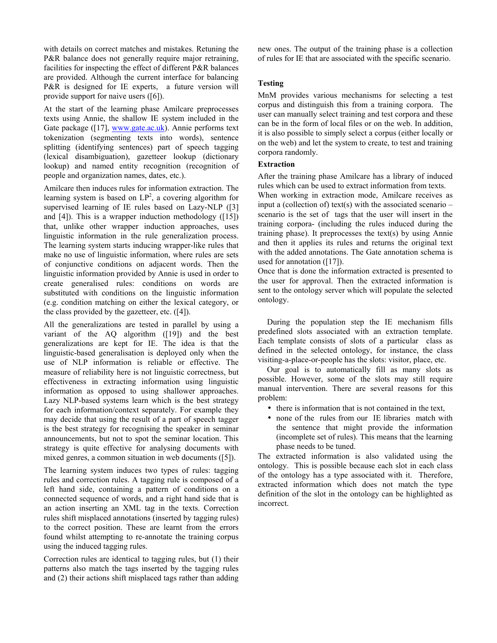with details on correct matches and mistakes. Retuning the P&R balance does not generally require major retraining, facilities for inspecting the effect of different P&R balances are provided. Although the current interface for balancing P&R is designed for IE experts, a future version will provide support for naive users ([6]).

At the start of the learning phase Amilcare preprocesses texts using Annie, the shallow IE system included in the Gate package ([17], [www.gate.ac.uk\)](http://www.gate.ac.uk/). Annie performs text tokenization (segmenting texts into words), sentence splitting (identifying sentences) part of speech tagging (lexical disambiguation), gazetteer lookup (dictionary lookup) and named entity recognition (recognition of people and organization names, dates, etc.).

Amilcare then induces rules for information extraction. The learning system is based on  $LP^2$ , a covering algorithm for supervised learning of IE rules based on Lazy-NLP ([3] and  $[4]$ ). This is a wrapper induction methodology  $(15]$ ) that, unlike other wrapper induction approaches, uses linguistic information in the rule generalization process. The learning system starts inducing wrapper-like rules that make no use of linguistic information, where rules are sets of conjunctive conditions on adjacent words. Then the linguistic information provided by Annie is used in order to create generalised rules: conditions on words are substituted with conditions on the linguistic information (e.g. condition matching on either the lexical category, or the class provided by the gazetteer, etc. ([4]).

All the generalizations are tested in parallel by using a variant of the AQ algorithm ([19]) and the best generalizations are kept for IE. The idea is that the linguistic-based generalisation is deployed only when the use of NLP information is reliable or effective. The measure of reliability here is not linguistic correctness, but effectiveness in extracting information using linguistic information as opposed to using shallower approaches. Lazy NLP-based systems learn which is the best strategy for each information/context separately. For example they may decide that using the result of a part of speech tagger is the best strategy for recognising the speaker in seminar announcements, but not to spot the seminar location. This strategy is quite effective for analysing documents with mixed genres, a common situation in web documents ([5]).

The learning system induces two types of rules: tagging rules and correction rules. A tagging rule is composed of a left hand side, containing a pattern of conditions on a connected sequence of words, and a right hand side that is an action inserting an XML tag in the texts. Correction rules shift misplaced annotations (inserted by tagging rules) to the correct position. These are learnt from the errors found whilst attempting to re-annotate the training corpus using the induced tagging rules.

Correction rules are identical to tagging rules, but (1) their patterns also match the tags inserted by the tagging rules and (2) their actions shift misplaced tags rather than adding new ones. The output of the training phase is a collection of rules for IE that are associated with the specific scenario.

## **Testing**

MnM provides various mechanisms for selecting a test corpus and distinguish this from a training corpora. The user can manually select training and test corpora and these can be in the form of local files or on the web. In addition, it is also possible to simply select a corpus (either locally or on the web) and let the system to create, to test and training corpora randomly.

## **Extraction**

After the training phase Amilcare has a library of induced rules which can be used to extract information from texts.

When working in extraction mode, Amilcare receives as input a (collection of) text(s) with the associated scenario  $$ scenario is the set of tags that the user will insert in the training corpora- (including the rules induced during the training phase). It preprocesses the text(s) by using Annie and then it applies its rules and returns the original text with the added annotations. The Gate annotation schema is used for annotation ([17]).

Once that is done the information extracted is presented to the user for approval. Then the extracted information is sent to the ontology server which will populate the selected ontology.

During the population step the IE mechanism fills predefined slots associated with an extraction template. Each template consists of slots of a particular class as defined in the selected ontology, for instance, the class visiting-a-place-or-people has the slots: visitor, place, etc.

Our goal is to automatically fill as many slots as possible. However, some of the slots may still require manual intervention. There are several reasons for this problem:

- there is information that is not contained in the text.
- none of the rules from our IE libraries match with the sentence that might provide the information (incomplete set of rules). This means that the learning phase needs to be tuned.

The extracted information is also validated using the ontology. This is possible because each slot in each class of the ontology has a type associated with it. Therefore, extracted information which does not match the type definition of the slot in the ontology can be highlighted as incorrect.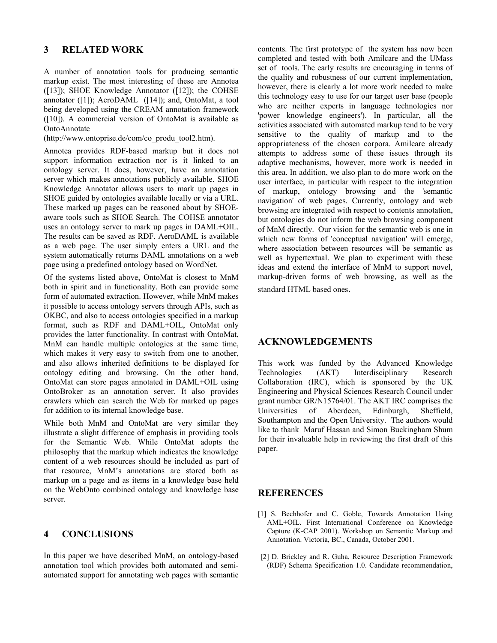# **3 RELATED WORK**

A number of annotation tools for producing semantic markup exist. The most interesting of these are Annotea ([13]); SHOE Knowledge Annotator ([12]); the COHSE annotator ([1]); AeroDAML ([14]); and, OntoMat, a tool being developed using the CREAM annotation framework ([10]). A commercial version of OntoMat is available as OntoAnnotate

#### (http://www.ontoprise.de/com/co\_produ\_tool2.htm).

Annotea provides RDF-based markup but it does not support information extraction nor is it linked to an ontology server. It does, however, have an annotation server which makes annotations publicly available. SHOE Knowledge Annotator allows users to mark up pages in SHOE guided by ontologies available locally or via a URL. These marked up pages can be reasoned about by SHOEaware tools such as SHOE Search. The COHSE annotator uses an ontology server to mark up pages in DAML+OIL. The results can be saved as RDF. AeroDAML is available as a web page. The user simply enters a URL and the system automatically returns DAML annotations on a web page using a predefined ontology based on WordNet.

Of the systems listed above, OntoMat is closest to MnM both in spirit and in functionality. Both can provide some form of automated extraction. However, while MnM makes it possible to access ontology servers through APIs, such as OKBC, and also to access ontologies specified in a markup format, such as RDF and DAML+OIL, OntoMat only provides the latter functionality. In contrast with OntoMat, MnM can handle multiple ontologies at the same time, which makes it very easy to switch from one to another, and also allows inherited definitions to be displayed for ontology editing and browsing. On the other hand, OntoMat can store pages annotated in DAML+OIL using OntoBroker as an annotation server. It also provides crawlers which can search the Web for marked up pages for addition to its internal knowledge base.

While both MnM and OntoMat are very similar they illustrate a slight difference of emphasis in providing tools for the Semantic Web. While OntoMat adopts the philosophy that the markup which indicates the knowledge content of a web resources should be included as part of that resource, MnM's annotations are stored both as markup on a page and as items in a knowledge base held on the WebOnto combined ontology and knowledge base server.

# **4 CONCLUSIONS**

In this paper we have described MnM, an ontology-based annotation tool which provides both automated and semiautomated support for annotating web pages with semantic contents. The first prototype of the system has now been completed and tested with both Amilcare and the UMass set of tools. The early results are encouraging in terms of the quality and robustness of our current implementation, however, there is clearly a lot more work needed to make this technology easy to use for our target user base (people who are neither experts in language technologies nor 'power knowledge engineers'). In particular, all the activities associated with automated markup tend to be very sensitive to the quality of markup and to the appropriateness of the chosen corpora. Amilcare already attempts to address some of these issues through its adaptive mechanisms, however, more work is needed in this area. In addition, we also plan to do more work on the user interface, in particular with respect to the integration of markup, ontology browsing and the 'semantic navigation' of web pages. Currently, ontology and web browsing are integrated with respect to contents annotation, but ontologies do not inform the web browsing component of MnM directly. Our vision for the semantic web is one in which new forms of 'conceptual navigation' will emerge, where association between resources will be semantic as well as hypertextual. We plan to experiment with these ideas and extend the interface of MnM to support novel, markup-driven forms of web browsing, as well as the standard HTML based ones.

# **ACKNOWLEDGEMENTS**

This work was funded by the Advanced Knowledge Technologies (AKT) Interdisciplinary Research Collaboration (IRC), which is sponsored by the UK Engineering and Physical Sciences Research Council under grant number GR/N15764/01. The AKT IRC comprises the Universities of Aberdeen, Edinburgh, Sheffield, Southampton and the Open University. The authors would like to thank Maruf Hassan and Simon Buckingham Shum for their invaluable help in reviewing the first draft of this paper.

# **REFERENCES**

- [1] S. Bechhofer and C. Goble, Towards Annotation Using AML+OIL. First International Conference on Knowledge Capture (K-CAP 2001). Workshop on Semantic Markup and Annotation. Victoria, BC., Canada, October 2001.
- [2] D. Brickley and R. Guha, Resource Description Framework (RDF) Schema Specification 1.0. Candidate recommendation,